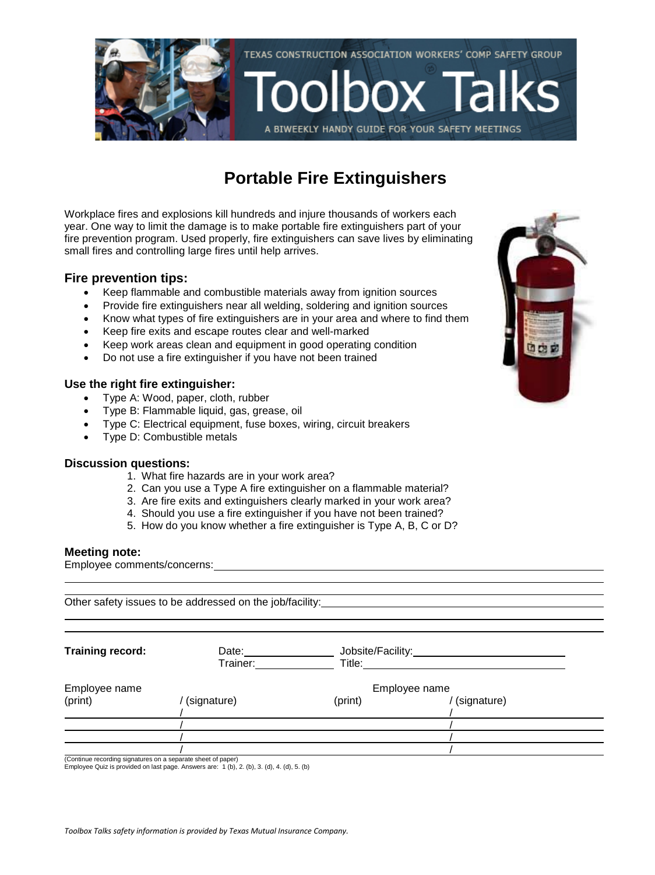

## **Portable Fire Extinguishers**

Workplace fires and explosions kill hundreds and injure thousands of workers each year. One way to limit the damage is to make portable fire extinguishers part of your fire prevention program. Used properly, fire extinguishers can save lives by eliminating small fires and controlling large fires until help arrives.

### **Fire prevention tips:**

- Keep flammable and combustible materials away from ignition sources
- Provide fire extinguishers near all welding, soldering and ignition sources
- Know what types of fire extinguishers are in your area and where to find them<br>• Keep fire exits and escape routes clear and well-marked
- Keep fire exits and escape routes clear and well-marked
- Keep work areas clean and equipment in good operating condition
- Do not use a fire extinguisher if you have not been trained

#### **Use the right fire extinguisher:**

- Type A: Wood, paper, cloth, rubber
- Type B: Flammable liquid, gas, grease, oil
- Type C: Electrical equipment, fuse boxes, wiring, circuit breakers
- Type D: Combustible metals

#### **Discussion questions:**

- 1. What fire hazards are in your work area?
- 2. Can you use a Type A fire extinguisher on a flammable material?
- 3. Are fire exits and extinguishers clearly marked in your work area?
- 4. Should you use a fire extinguisher if you have not been trained?
- 5. How do you know whether a fire extinguisher is Type A, B, C or D?

#### **Meeting note:**

Employee comments/concerns:

|                                                              | Other safety issues to be addressed on the job/facility: |                             |             |  |
|--------------------------------------------------------------|----------------------------------------------------------|-----------------------------|-------------|--|
| Training record:                                             | Date:<br>Trainer:                                        | Jobsite/Facility:<br>Title: |             |  |
| Employee name                                                |                                                          | Employee name               |             |  |
| (print)                                                      | (signature)                                              | (print)                     | (signature) |  |
|                                                              |                                                          |                             |             |  |
|                                                              |                                                          |                             |             |  |
|                                                              |                                                          |                             |             |  |
| (Continue recording signatures on a separate sheet of paper) |                                                          |                             |             |  |

(Continue recording signatures on a separate sheet of paper) Employee Quiz is provided on last page. Answers are: 1 (b), 2. (b), 3. (d), 4. (d), 5. (b)

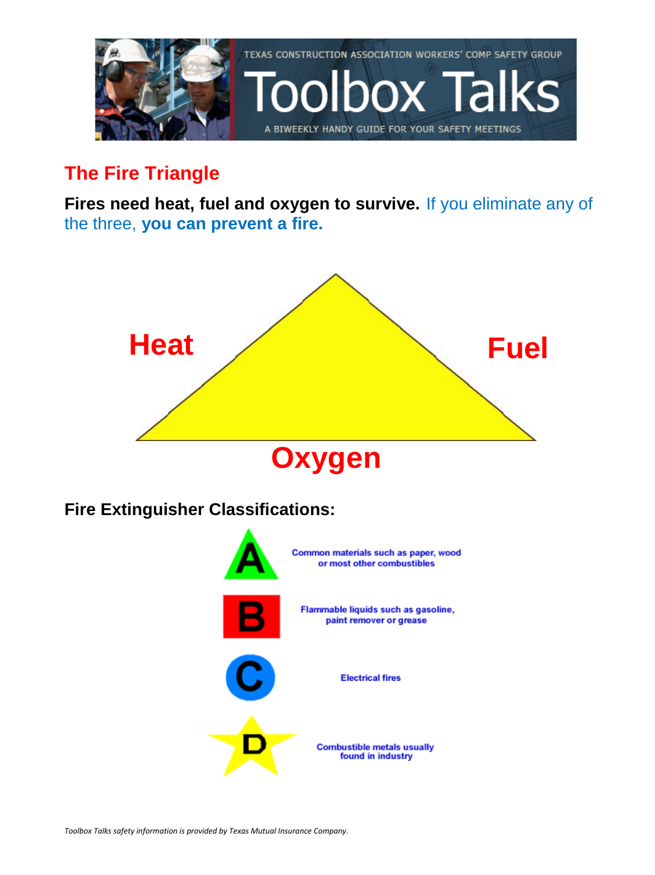

# **The Fire Triangle**

**Fires need heat, fuel and oxygen to survive.** If you eliminate any of the three, **you can prevent a fire.**

![](_page_1_Figure_3.jpeg)